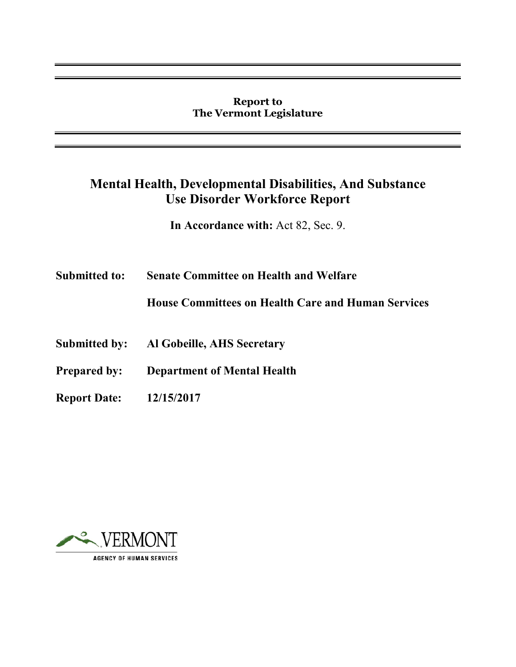#### **Report to The Vermont Legislature**

# **Mental Health, Developmental Disabilities, And Substance Use Disorder Workforce Report**

**In Accordance with:** Act 82, Sec. 9.

**Submitted to: Senate Committee on Health and Welfare** 

**House Committees on Health Care and Human Services** 

- **Submitted by: Al Gobeille, AHS Secretary**
- **Prepared by: Department of Mental Health**
- **Report Date: 12/15/2017**

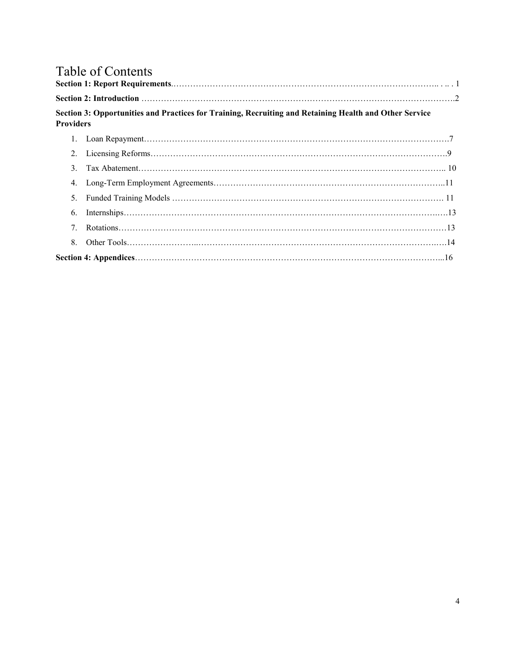# Table of Contents

| <b>Providers</b> | Section 3: Opportunities and Practices for Training, Recruiting and Retaining Health and Other Service |  |
|------------------|--------------------------------------------------------------------------------------------------------|--|
|                  |                                                                                                        |  |
| $2_{1}$          |                                                                                                        |  |
| $\mathcal{F}$    |                                                                                                        |  |
| 4.               |                                                                                                        |  |
| $5_{-}$          |                                                                                                        |  |
| 6.               |                                                                                                        |  |
| $7^{\circ}$      |                                                                                                        |  |
| 8                |                                                                                                        |  |
|                  |                                                                                                        |  |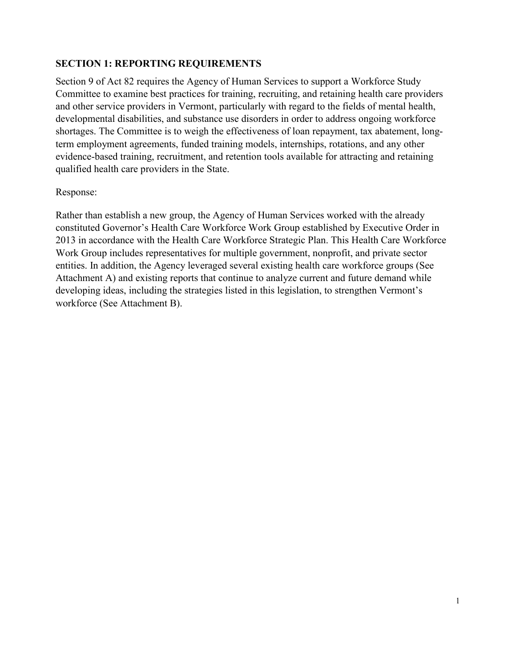#### **SECTION 1: REPORTING REQUIREMENTS**

Section 9 of Act 82 requires the Agency of Human Services to support a Workforce Study Committee to examine best practices for training, recruiting, and retaining health care providers and other service providers in Vermont, particularly with regard to the fields of mental health, developmental disabilities, and substance use disorders in order to address ongoing workforce shortages. The Committee is to weigh the effectiveness of loan repayment, tax abatement, longterm employment agreements, funded training models, internships, rotations, and any other evidence-based training, recruitment, and retention tools available for attracting and retaining qualified health care providers in the State.

#### Response:

Rather than establish a new group, the Agency of Human Services worked with the already constituted Governor's Health Care Workforce Work Group established by Executive Order in 2013 in accordance with the Health Care Workforce Strategic Plan. This Health Care Workforce Work Group includes representatives for multiple government, nonprofit, and private sector entities. In addition, the Agency leveraged several existing health care workforce groups (See Attachment A) and existing reports that continue to analyze current and future demand while developing ideas, including the strategies listed in this legislation, to strengthen Vermont's workforce (See Attachment B).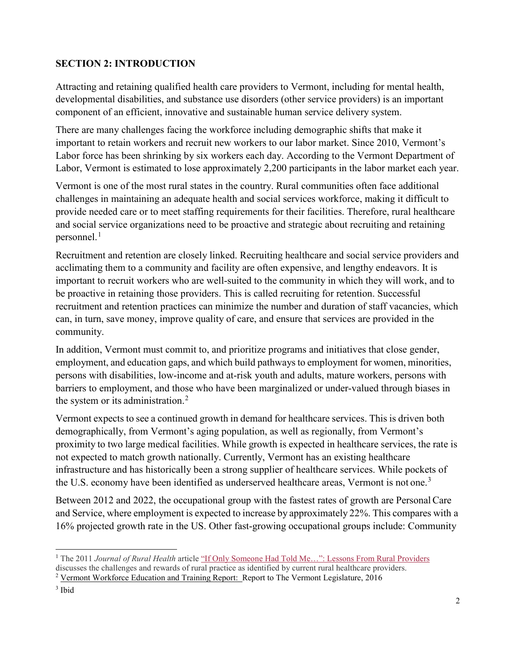#### **SECTION 2: INTRODUCTION**

Attracting and retaining qualified health care providers to Vermont, including for mental health, developmental disabilities, and substance use disorders (other service providers) is an important component of an efficient, innovative and sustainable human service delivery system.

There are many challenges facing the workforce including demographic shifts that make it important to retain workers and recruit new workers to our labor market. Since 2010, Vermont's Labor force has been shrinking by six workers each day. According to the Vermont Department of Labor, Vermont is estimated to lose approximately 2,200 participants in the labor market each year.

Vermont is one of the most rural states in the country. Rural communities often face additional challenges in maintaining an adequate health and social services workforce, making it difficult to provide needed care or to meet staffing requirements for their facilities. Therefore, rural healthcare and social service organizations need to be proactive and strategic about recruiting and retaining personnel. $<sup>1</sup>$  $<sup>1</sup>$  $<sup>1</sup>$ </sup>

Recruitment and retention are closely linked. Recruiting healthcare and social service providers and acclimating them to a community and facility are often expensive, and lengthy endeavors. It is important to recruit workers who are well-suited to the community in which they will work, and to be proactive in retaining those providers. This is called recruiting for retention. Successful recruitment and retention practices can minimize the number and duration of staff vacancies, which can, in turn, save money, improve quality of care, and ensure that services are provided in the community.

In addition, Vermont must commit to, and prioritize programs and initiatives that close gender, employment, and education gaps, and which build pathways to employment for women, minorities, persons with disabilities, low-income and at-risk youth and adults, mature workers, persons with barriers to employment, and those who have been marginalized or under-valued through biases in the system or its administration. [2](#page-3-1)

Vermont expects to see a continued growth in demand for healthcare services. This is driven both demographically, from Vermont's aging population, as well as regionally, from Vermont's proximity to two large medical facilities. While growth is expected in healthcare services, the rate is not expected to match growth nationally. Currently, Vermont has an existing healthcare infrastructure and has historically been a strong supplier of healthcare services. While pockets of the U.S. economy have been identified as underserved healthcare areas, Vermont is not one.<sup>[3](#page-3-2)</sup>

Between 2012 and 2022, the occupational group with the fastest rates of growth are PersonalCare and Service, where employment is expected to increase by approximately 22%. This compares with a 16% projected growth rate in the US. Other fast-growing occupational groups include: Community

<span id="page-3-0"></span> $\overline{a}$ <sup>1</sup> The 2011 *Journal of Rural Health* articl[e "If Only Someone Had Told Me…": Lessons From Rural Providers](https://www.ncbi.nlm.nih.gov/pmc/articles/PMC3057882/) discusses the challenges and rewards of rural practice as identified by current rural healthcare providers.

<span id="page-3-1"></span><sup>2</sup> Vermont Workforce Education and Training Report: Report to The Vermont Legislature, 2016

<span id="page-3-2"></span><sup>3</sup> Ibid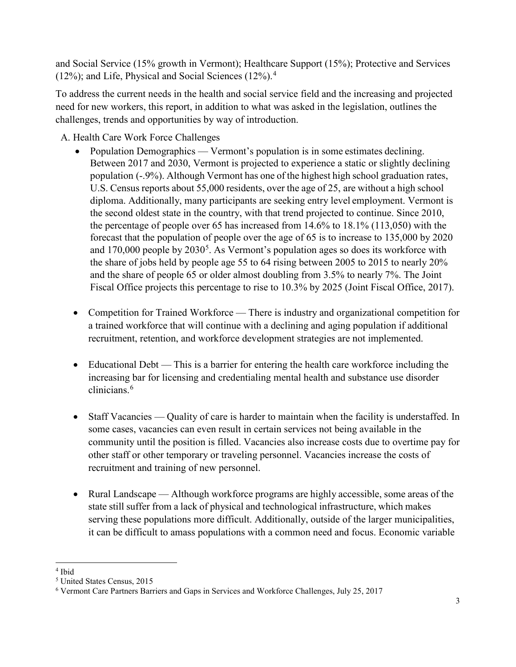and Social Service (15% growth in Vermont); Healthcare Support (15%); Protective and Services (12%); and Life, Physical and Social Sciences  $(12\%)$ .<sup>[4](#page-4-0)</sup>

To address the current needs in the health and social service field and the increasing and projected need for new workers, this report, in addition to what was asked in the legislation, outlines the challenges, trends and opportunities by way of introduction.

A. Health Care Work Force Challenges

- Population Demographics Vermont's population is in some estimates declining. Between 2017 and 2030, Vermont is projected to experience a static or slightly declining population (-.9%). Although Vermont has one of the highest high school graduation rates, U.S. Census reports about 55,000 residents, over the age of 25, are without a high school diploma. Additionally, many participants are seeking entry level employment. Vermont is the second oldest state in the country, with that trend projected to continue. Since 2010, the percentage of people over 65 has increased from 14.6% to 18.1% (113,050) with the forecast that the population of people over the age of 65 is to increase to 135,000 by 2020 and  $170,000$  people by  $2030<sup>5</sup>$  $2030<sup>5</sup>$  $2030<sup>5</sup>$ . As Vermont's population ages so does its workforce with the share of jobs held by people age 55 to 64 rising between 2005 to 2015 to nearly 20% and the share of people 65 or older almost doubling from 3.5% to nearly 7%. The Joint Fiscal Office projects this percentage to rise to 10.3% by 2025 (Joint Fiscal Office, 2017).
- Competition for Trained Workforce There is industry and organizational competition for a trained workforce that will continue with a declining and aging population if additional recruitment, retention, and workforce development strategies are not implemented.
- Educational Debt This is a barrier for entering the health care workforce including the increasing bar for licensing and credentialing mental health and substance use disorder clinicians. [6](#page-4-2)
- Staff Vacancies Quality of care is harder to maintain when the facility is understaffed. In some cases, vacancies can even result in certain services not being available in the community until the position is filled. Vacancies also increase costs due to overtime pay for other staff or other temporary or traveling personnel. Vacancies increase the costs of recruitment and training of new personnel.
- Rural Landscape Although workforce programs are highly accessible, some areas of the state still suffer from a lack of physical and technological infrastructure, which makes serving these populations more difficult. Additionally, outside of the larger municipalities, it can be difficult to amass populations with a common need and focus. Economic variable

<span id="page-4-0"></span> $\overline{a}$ <sup>4</sup> Ibid

<span id="page-4-1"></span><sup>5</sup> United States Census, 2015

<span id="page-4-2"></span><sup>6</sup> Vermont Care Partners Barriers and Gaps in Services and Workforce Challenges, July 25, 2017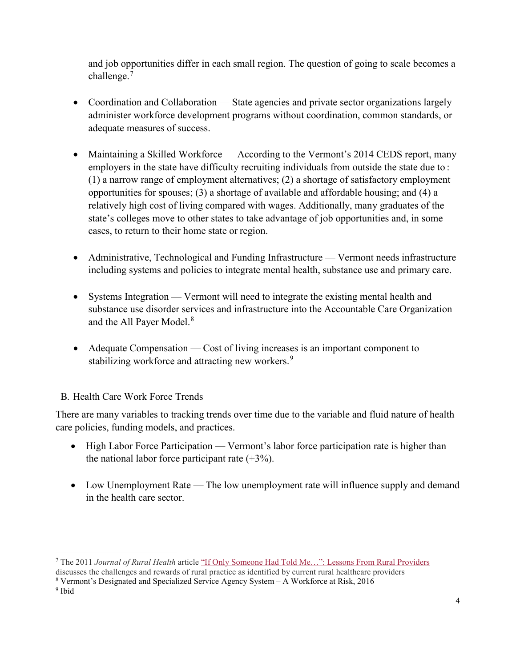and job opportunities differ in each small region. The question of going to scale becomes a challenge.<sup>[7](#page-5-0)</sup>

- Coordination and Collaboration State agencies and private sector organizations largely administer workforce development programs without coordination, common standards, or adequate measures of success.
- Maintaining a Skilled Workforce According to the Vermont's 2014 CEDS report, many employers in the state have difficulty recruiting individuals from outside the state due to : (1) a narrow range of employment alternatives; (2) a shortage of satisfactory employment opportunities for spouses; (3) a shortage of available and affordable housing; and (4) a relatively high cost of living compared with wages. Additionally, many graduates of the state's colleges move to other states to take advantage of job opportunities and, in some cases, to return to their home state or region.
- Administrative, Technological and Funding Infrastructure Vermont needs infrastructure including systems and policies to integrate mental health, substance use and primary care.
- Systems Integration Vermont will need to integrate the existing mental health and substance use disorder services and infrastructure into the Accountable Care Organization and the All Payer Model.<sup>[8](#page-5-1)</sup>
- Adequate Compensation Cost of living increases is an important component to stabilizing workforce and attracting new workers.<sup>[9](#page-5-2)</sup>

# B. Health Care Work Force Trends

There are many variables to tracking trends over time due to the variable and fluid nature of health care policies, funding models, and practices.

- High Labor Force Participation Vermont's labor force participation rate is higher than the national labor force participant rate  $(+3%)$ .
- Low Unemployment Rate The low unemployment rate will influence supply and demand in the health care sector.

<span id="page-5-0"></span> $\overline{a}$ <sup>7</sup> The 2011 *Journal of Rural Health* articl[e "If Only Someone Had Told Me…": Lessons From Rural Providers](https://www.ncbi.nlm.nih.gov/pmc/articles/PMC3057882/)

discusses the challenges and rewards of rural practice as identified by current rural healthcare providers

<span id="page-5-1"></span><sup>8</sup> Vermont's Designated and Specialized Service Agency System – A Workforce at Risk, 2016

<span id="page-5-2"></span><sup>9</sup> Ibid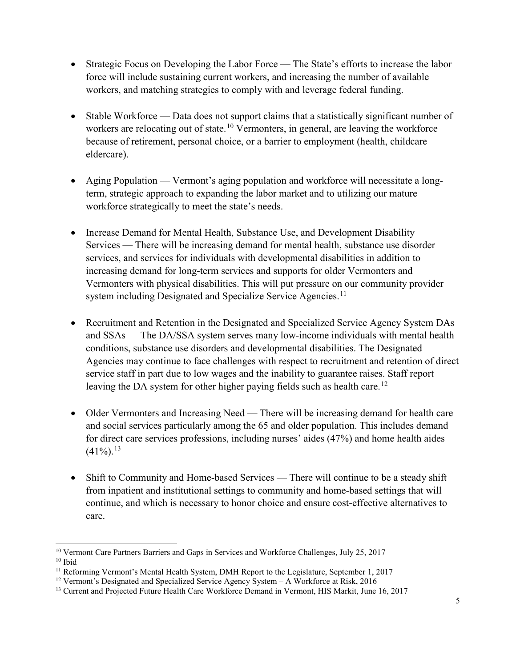- Strategic Focus on Developing the Labor Force The State's efforts to increase the labor force will include sustaining current workers, and increasing the number of available workers, and matching strategies to comply with and leverage federal funding.
- Stable Workforce Data does not support claims that a statistically significant number of workers are relocating out of state.<sup>[10](#page-6-0)</sup> Vermonters, in general, are leaving the workforce because of retirement, personal choice, or a barrier to employment (health, childcare eldercare).
- Aging Population Vermont's aging population and workforce will necessitate a longterm, strategic approach to expanding the labor market and to utilizing our mature workforce strategically to meet the state's needs.
- Increase Demand for Mental Health, Substance Use, and Development Disability Services — There will be increasing demand for mental health, substance use disorder services, and services for individuals with developmental disabilities in addition to increasing demand for long-term services and supports for older Vermonters and Vermonters with physical disabilities. This will put pressure on our community provider system including Designated and Specialize Service Agencies.<sup>[11](#page-6-1)</sup>
- Recruitment and Retention in the Designated and Specialized Service Agency System DAs and SSAs — The DA/SSA system serves many low-income individuals with mental health conditions, substance use disorders and developmental disabilities. The Designated Agencies may continue to face challenges with respect to recruitment and retention of direct service staff in part due to low wages and the inability to guarantee raises. Staff report leaving the DA system for other higher paying fields such as health care.<sup>[12](#page-6-2)</sup>
- Older Vermonters and Increasing Need There will be increasing demand for health care and social services particularly among the 65 and older population. This includes demand for direct care services professions, including nurses' aides (47%) and home health aides  $(41\%)$ <sup>13</sup>
- Shift to Community and Home-based Services There will continue to be a steady shift from inpatient and institutional settings to community and home-based settings that will continue, and which is necessary to honor choice and ensure cost-effective alternatives to care.

 $\overline{a}$ 

<span id="page-6-0"></span> $^{10}$  Vermont Care Partners Barriers and Gaps in Services and Workforce Challenges, July 25, 2017  $^{10}$  Ibid

<span id="page-6-1"></span><sup>&</sup>lt;sup>11</sup> Reforming Vermont's Mental Health System, DMH Report to the Legislature, September 1, 2017

<span id="page-6-2"></span><sup>12</sup> Vermont's Designated and Specialized Service Agency System – A Workforce at Risk, 2016

<span id="page-6-3"></span><sup>&</sup>lt;sup>13</sup> Current and Projected Future Health Care Workforce Demand in Vermont, HIS Markit, June 16, 2017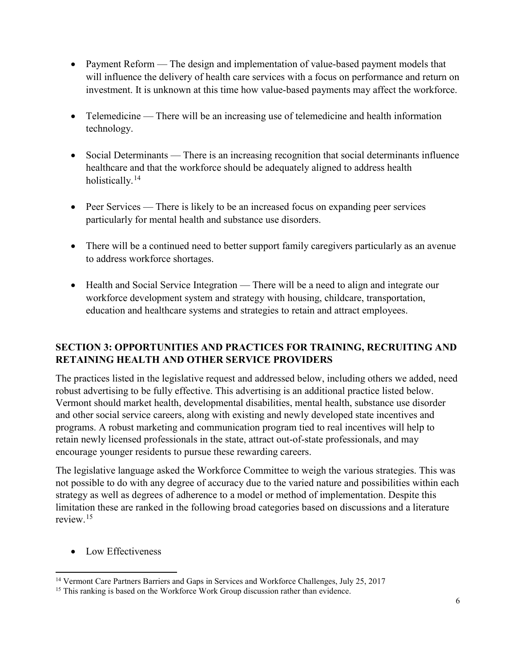- Payment Reform The design and implementation of value-based payment models that will influence the delivery of health care services with a focus on performance and return on investment. It is unknown at this time how value-based payments may affect the workforce.
- Telemedicine There will be an increasing use of telemedicine and health information technology.
- Social Determinants There is an increasing recognition that social determinants influence healthcare and that the workforce should be adequately aligned to address health holistically.<sup>[14](#page-7-0)</sup>
- Peer Services There is likely to be an increased focus on expanding peer services particularly for mental health and substance use disorders.
- There will be a continued need to better support family caregivers particularly as an avenue to address workforce shortages.
- Health and Social Service Integration There will be a need to align and integrate our workforce development system and strategy with housing, childcare, transportation, education and healthcare systems and strategies to retain and attract employees.

# **SECTION 3: OPPORTUNITIES AND PRACTICES FOR TRAINING, RECRUITING AND RETAINING HEALTH AND OTHER SERVICE PROVIDERS**

The practices listed in the legislative request and addressed below, including others we added, need robust advertising to be fully effective. This advertising is an additional practice listed below. Vermont should market health, developmental disabilities, mental health, substance use disorder and other social service careers, along with existing and newly developed state incentives and programs. A robust marketing and communication program tied to real incentives will help to retain newly licensed professionals in the state, attract out-of-state professionals, and may encourage younger residents to pursue these rewarding careers.

The legislative language asked the Workforce Committee to weigh the various strategies. This was not possible to do with any degree of accuracy due to the varied nature and possibilities within each strategy as well as degrees of adherence to a model or method of implementation. Despite this limitation these are ranked in the following broad categories based on discussions and a literature review. [15](#page-7-1)

• Low Effectiveness

<span id="page-7-0"></span> $\overline{a}$ <sup>14</sup> Vermont Care Partners Barriers and Gaps in Services and Workforce Challenges, July 25, 2017

<span id="page-7-1"></span><sup>&</sup>lt;sup>15</sup> This ranking is based on the Workforce Work Group discussion rather than evidence.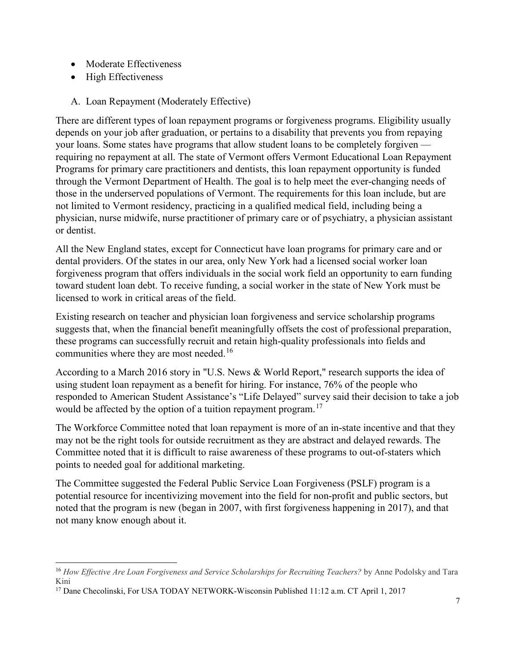- Moderate Effectiveness
- High Effectiveness

 $\overline{a}$ 

A. Loan Repayment (Moderately Effective)

There are different types of loan repayment programs or forgiveness programs. Eligibility usually depends on your job after graduation, or pertains to a disability that prevents you from repaying your loans. Some states have programs that allow student loans to be completely forgiven requiring no repayment at all. The state of Vermont offers Vermont Educational Loan Repayment Programs for primary care practitioners and dentists, this loan repayment opportunity is funded through the Vermont Department of Health. The goal is to help meet the ever-changing needs of those in the underserved populations of Vermont. The requirements for this loan include, but are not limited to Vermont residency, practicing in a qualified medical field, including being a physician, nurse midwife, nurse practitioner of primary care or of psychiatry, a physician assistant or dentist.

All the New England states, except for Connecticut have loan programs for primary care and or dental providers. Of the states in our area, only New York had a licensed social worker loan forgiveness program that offers individuals in the social work field an opportunity to earn funding toward student loan debt. To receive funding, a social worker in the state of New York must be licensed to work in critical areas of the field.

Existing research on teacher and physician loan forgiveness and service scholarship programs suggests that, when the financial benefit meaningfully offsets the cost of professional preparation, these programs can successfully recruit and retain high-quality professionals into fields and communities where they are most needed.<sup>[16](#page-8-0)</sup>

According to a March 2016 story in "U.S. News & World Report," research supports the idea of using student loan repayment as a benefit for hiring. For instance, 76% of the people who responded to American Student Assistance's ["Life Delayed" survey](http://www.asa.org/site/assets/files/4743/life_delayed_whitepaper_2015.pdf) said their decision to take a job would be affected by the option of a tuition repayment program.<sup>[17](#page-8-1)</sup>

The Workforce Committee noted that loan repayment is more of an in-state incentive and that they may not be the right tools for outside recruitment as they are abstract and delayed rewards. The Committee noted that it is difficult to raise awareness of these programs to out-of-staters which points to needed goal for additional marketing.

The Committee suggested the Federal Public Service Loan Forgiveness (PSLF) program is a potential resource for incentivizing movement into the field for non-profit and public sectors, but noted that the program is new (began in 2007, with first forgiveness happening in 2017), and that not many know enough about it.

<span id="page-8-0"></span><sup>16</sup> *How Effective Are Loan Forgiveness and Service Scholarships for Recruiting Teachers?* by Anne Podolsky and Tara Kini

<span id="page-8-1"></span><sup>17</sup> Dane Checolinski, For USA TODAY NETWORK-Wisconsin Published 11:12 a.m. CT April 1, 2017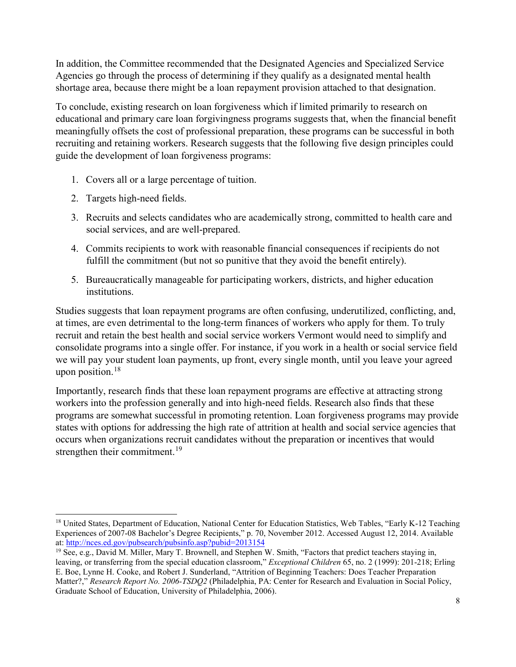In addition, the Committee recommended that the Designated Agencies and Specialized Service Agencies go through the process of determining if they qualify as a designated mental health shortage area, because there might be a loan repayment provision attached to that designation.

To conclude, existing research on loan forgiveness which if limited primarily to research on educational and primary care loan forgivingness programs suggests that, when the financial benefit meaningfully offsets the cost of professional preparation, these programs can be successful in both recruiting and retaining workers. Research suggests that the following five design principles could guide the development of loan forgiveness programs:

- 1. Covers all or a large percentage of tuition.
- 2. Targets high-need fields.

 $\overline{a}$ 

- 3. Recruits and selects candidates who are academically strong, committed to health care and social services, and are well-prepared.
- 4. Commits recipients to work with reasonable financial consequences if recipients do not fulfill the commitment (but not so punitive that they avoid the benefit entirely).
- 5. Bureaucratically manageable for participating workers, districts, and higher education institutions.

Studies suggests that loan repayment programs are often confusing, underutilized, conflicting, and, at times, are even detrimental to the long-term finances of workers who apply for them. To truly recruit and retain the best health and social service workers Vermont would need to simplify and consolidate programs into a single offer. For instance, if you work in a health or social service field we will pay your student loan payments, up front, every single month, until you leave your agreed upon position.<sup>[18](#page-9-0)</sup>

Importantly, research finds that these loan repayment programs are effective at attracting strong workers into the profession generally and into high-need fields. Research also finds that these programs are somewhat successful in promoting retention. Loan forgiveness programs may provide states with options for addressing the high rate of attrition at health and social service agencies that occurs when organizations recruit candidates without the preparation or incentives that would strengthen their commitment.<sup>[19](#page-9-1)</sup>

<span id="page-9-0"></span><sup>&</sup>lt;sup>18</sup> United States, Department of Education, National Center for Education Statistics, Web Tables, "Early K-12 Teaching Experiences of 2007-08 Bachelor's Degree Recipients," p. 70, November 2012. Accessed August 12, 2014. Available at:<http://nces.ed.gov/pubsearch/pubsinfo.asp?pubid=2013154>

<span id="page-9-1"></span><sup>&</sup>lt;sup>19</sup> See, e.g., David M. Miller, Mary T. Brownell, and Stephen W. Smith, "Factors that predict teachers staying in, leaving, or transferring from the special education classroom," *Exceptional Children* 65, no. 2 (1999): 201-218; Erling E. Boe, Lynne H. Cooke, and Robert J. Sunderland, "Attrition of Beginning Teachers: Does Teacher Preparation Matter?," *Research Report No. 2006-TSDQ2* (Philadelphia, PA: Center for Research and Evaluation in Social Policy, Graduate School of Education, University of Philadelphia, 2006).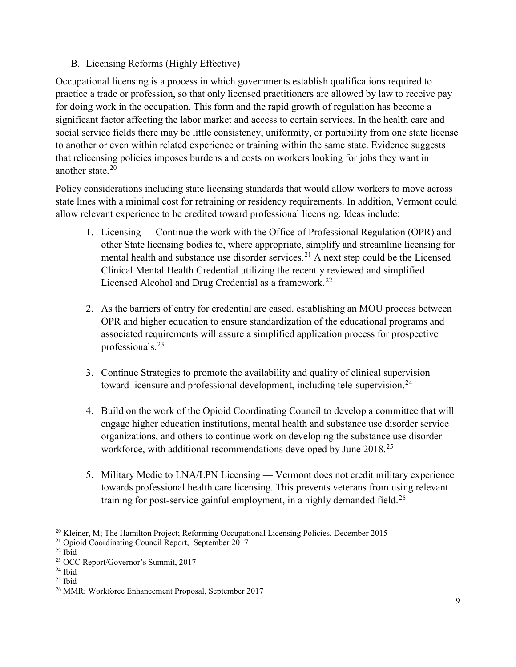# B. Licensing Reforms (Highly Effective)

Occupational licensing is a process in which governments establish qualifications required to practice a trade or profession, so that only licensed practitioners are allowed by law to receive pay for doing work in the occupation. This form and the rapid growth of regulation has become a significant factor affecting the labor market and access to certain services. In the health care and social service fields there may be little consistency, uniformity, or portability from one state license to another or even within related experience or training within the same state. Evidence suggests that relicensing policies imposes burdens and costs on workers looking for jobs they want in another state. [20](#page-10-0)

Policy considerations including state licensing standards that would allow workers to move across state lines with a minimal cost for retraining or residency requirements. In addition, Vermont could allow relevant experience to be credited toward professional licensing. Ideas include:

- 1. Licensing Continue the work with the Office of Professional Regulation (OPR) and other State licensing bodies to, where appropriate, simplify and streamline licensing for mental health and substance use disorder services.<sup>21</sup> A next step could be the Licensed Clinical Mental Health Credential utilizing the recently reviewed and simplified Licensed Alcohol and Drug Credential as a framework.<sup>[22](#page-10-2)</sup>
- 2. As the barriers of entry for credential are eased, establishing an MOU process between OPR and higher education to ensure standardization of the educational programs and associated requirements will assure a simplified application process for prospective professionals.<sup>[23](#page-10-3)</sup>
- 3. Continue Strategies to promote the availability and quality of clinical supervision toward licensure and professional development, including tele-supervision.<sup>[24](#page-10-4)</sup>
- 4. Build on the work of the Opioid Coordinating Council to develop a committee that will engage higher education institutions, mental health and substance use disorder service organizations, and others to continue work on developing the substance use disorder workforce, with additional recommendations developed by June 2018.<sup>[25](#page-10-5)</sup>
- 5. Military Medic to LNA/LPN Licensing Vermont does not credit military experience towards professional health care licensing. This prevents veterans from using relevant training for post-service gainful employment, in a highly demanded field.<sup>[26](#page-10-6)</sup>

<span id="page-10-0"></span> $\overline{a}$ <sup>20</sup> Kleiner, M; The Hamilton Project; Reforming Occupational Licensing Policies, December 2015<sup>21</sup> Opioid Coordinating Council Report, September 2017

<span id="page-10-2"></span><span id="page-10-1"></span> $22$  Ibid

<span id="page-10-3"></span><sup>23</sup> OCC Report/Governor's Summit, 2017

<span id="page-10-4"></span> $24$  Ibid

 $25$  Ibid

<span id="page-10-6"></span><span id="page-10-5"></span><sup>26</sup> MMR; Workforce Enhancement Proposal, September 2017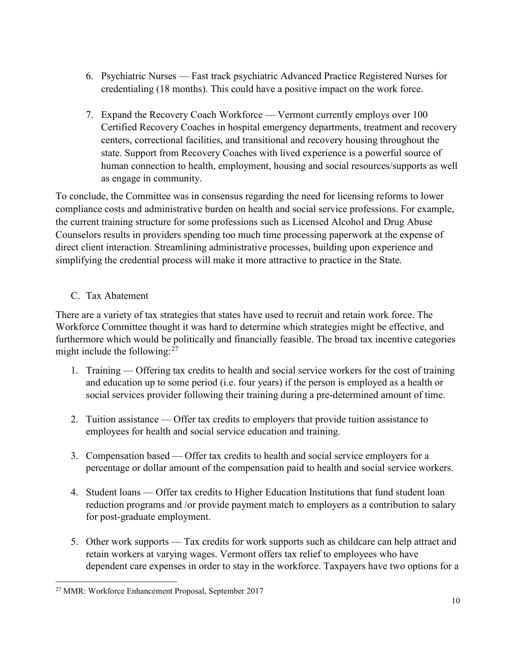- 6. Psychiatric Nurses Fast track psychiatric Advanced Practice Registered Nurses for credentialing (18 months). This could have a positive impact on the work force.
- 7. Expand the Recovery Coach Workforce Vermont currently employs over 100 Certified Recovery Coaches in hospital emergency departments, treatment and recovery centers, correctional facilities, and transitional and recovery housing throughout the state. Support from Recovery Coaches with lived experience is a powerful source of human connection to health, employment, housing and social resources/supports as well as engage in community.

To conclude, the Committee was in consensus regarding the need for licensing reforms to lower compliance costs and administrative burden on health and social service professions. For example, the current training structure for some professions such as Licensed Alcohol and Drug Abuse Counselors results in providers spending too much time processing paperwork at the expense of direct client interaction. Streamlining administrative processes, building upon experience and simplifying the credential process will make it more attractive to practice in the State.

# C. Tax Abatement

There are a variety of tax strategies that states have used to recruit and retain work force. The Workforce Committee thought it was hard to determine which strategies might be effective, and furthermore which would be politically and financially feasible. The broad tax incentive categories might include the following: $27$ 

- 1. Training Offering tax credits to health and social service workers for the cost of training and education up to some period (i.e. four years) if the person is employed as a health or social services provider following their training during a pre-determined amount of time.
- 2. Tuition assistance Offer tax credits to employers that provide tuition assistance to employees for health and social service education and training.
- 3. Compensation based Offer tax credits to health and social service employers for a percentage or dollar amount of the compensation paid to health and social service workers.
- 4. Student loans Offer tax credits to Higher Education Institutions that fund student loan reduction programs and /or provide payment match to employers as a contribution to salary for post-graduate employment.
- 5. Other work supports Tax credits for work supports such as childcare can help attract and retain workers at varying wages. Vermont offers tax relief to employees who have dependent care expenses in order to stay in the workforce. Taxpayers have two options for a

<span id="page-11-0"></span> $\overline{a}$ <sup>27</sup> MMR: Workforce Enhancement Proposal, September 2017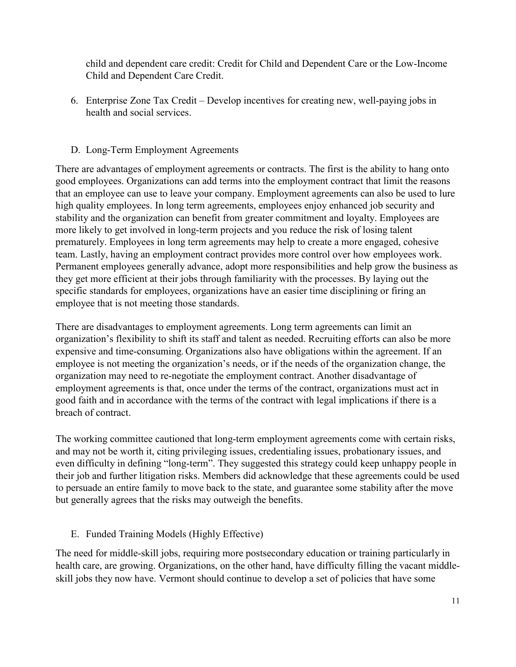child and dependent care credit: Credit for Child and Dependent Care or the Low-Income Child and Dependent Care Credit.

6. Enterprise Zone Tax Credit – Develop incentives for creating new, well-paying jobs in health and social services.

#### D. Long-Term Employment Agreements

There are advantages of employment agreements or contracts. The first is the ability to hang onto good employees. Organizations can add terms into the employment contract that limit the reasons that an employee can use to leave your company. Employment agreements can also be used to lure high quality employees. In long term agreements, employees enjoy enhanced job security and stability and the organization can benefit from greater commitment and loyalty. Employees are more likely to get involved in long-term projects and you reduce the risk of losing talent prematurely. Employees in long term agreements may help to create a more engaged, cohesive team. Lastly, having an employment contract provides more control over how employees work. Permanent employees generally advance, adopt more responsibilities and help grow the business as they get more efficient at their jobs through familiarity with the processes. By laying out the specific standards for employees, organizations have an easier time disciplining or firing an employee that is not meeting those standards.

There are disadvantages to employment agreements. Long term agreements can limit an organization's flexibility to shift its staff and talent as needed. Recruiting efforts can also be more [expensive and time-consuming](http://www.hrreview.co.uk/hr-news/recruitment/it-costs-over-30k-to-replace-a-staff-member/50677). Organizations also have obligations within the agreement. If an employee is not meeting the organization's needs, or if the needs of the organization change, the organization may need to re-negotiate the employment contract. Another disadvantage of employment agreements is that, once under the terms of the contract, organizations must act in good faith and in accordance with the terms of the contract with legal implications if there is a breach of contract.

The working committee cautioned that long-term employment agreements come with certain risks, and may not be worth it, citing privileging issues, credentialing issues, probationary issues, and even difficulty in defining "long-term". They suggested this strategy could keep unhappy people in their job and further litigation risks. Members did acknowledge that these agreements could be used to persuade an entire family to move back to the state, and guarantee some stability after the move but generally agrees that the risks may outweigh the benefits.

#### E. Funded Training Models (Highly Effective)

The need for middle-skill jobs, requiring more postsecondary education or training particularly in health care, are growing. Organizations, on the other hand, have difficulty filling the vacant middleskill jobs they now have. Vermont should continue to develop a set of policies that have some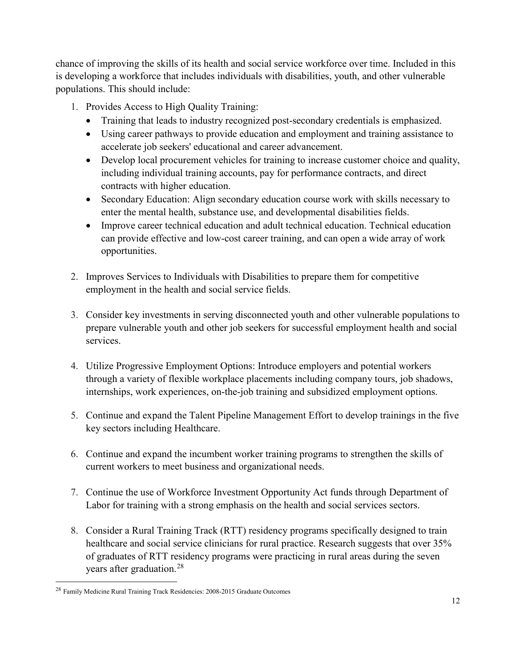chance of improving the skills of its health and social service workforce over time. Included in this is developing a workforce that includes individuals with disabilities, youth, and other vulnerable populations. This should include:

- 1. Provides Access to High Quality Training:
	- Training that leads to industry recognized post-secondary credentials is emphasized.
	- Using career pathways to provide education and employment and training assistance to accelerate job seekers' educational and career advancement.
	- Develop local procurement vehicles for training to increase customer choice and quality, including individual training accounts, pay for performance contracts, and direct contracts with higher education.
	- Secondary Education: Align secondary education course work with skills necessary to enter the mental health, substance use, and developmental disabilities fields.
	- Improve career technical education and adult technical education. Technical education can provide effective and low-cost career training, and can open a wide array of work opportunities.
- 2. Improves Services to Individuals with Disabilities to prepare them for competitive employment in the health and social service fields.
- 3. Consider key investments in serving disconnected youth and other vulnerable populations to prepare vulnerable youth and other job seekers for successful employment health and social services.
- 4. Utilize Progressive Employment Options: Introduce employers and potential workers through a variety of flexible workplace placements including company tours, job shadows, internships, work experiences, on-the-job training and subsidized employment options.
- 5. Continue and expand the Talent Pipeline Management Effort to develop trainings in the five key sectors including Healthcare.
- 6. Continue and expand the incumbent worker training programs to strengthen the skills of current workers to meet business and organizational needs.
- 7. Continue the use of Workforce Investment Opportunity Act funds through Department of Labor for training with a strong emphasis on the health and social services sectors.
- 8. Consider a Rural Training Track (RTT) residency programs specifically designed to train healthcare and social service clinicians for rural practice. Research suggests that over 35% of graduates of RTT residency programs were practicing in rural areas during the seven years after graduation.<sup>[28](#page-13-0)</sup>

 $\overline{a}$ 

<span id="page-13-0"></span><sup>28</sup> [Family Medicine Rural Training Track Residencies: 2008-2015 Graduate Outcomes](http://depts.washington.edu/fammed/rhrc/wp-content/uploads/sites/4/2016/02/RTT_Grad_Outcomes_PB_2016.pdf)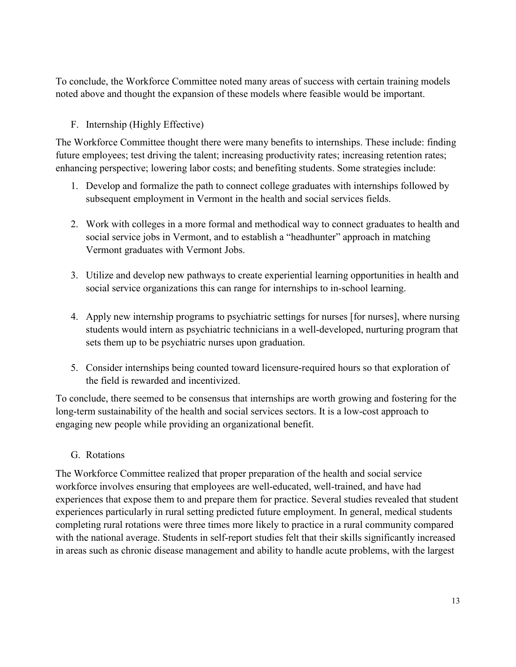To conclude, the Workforce Committee noted many areas of success with certain training models noted above and thought the expansion of these models where feasible would be important.

# F. Internship (Highly Effective)

The Workforce Committee thought there were many benefits to internships. These include: finding future employees; test driving the talent; increasing productivity rates; increasing retention rates; enhancing perspective; lowering labor costs; and benefiting students. Some strategies include:

- 1. Develop and formalize the path to connect college graduates with internships followed by subsequent employment in Vermont in the health and social services fields.
- 2. Work with colleges in a more formal and methodical way to connect graduates to health and social service jobs in Vermont, and to establish a "headhunter" approach in matching Vermont graduates with Vermont Jobs.
- 3. Utilize and develop new pathways to create experiential learning opportunities in health and social service organizations this can range for internships to in-school learning.
- 4. Apply new internship programs to psychiatric settings for nurses [for nurses], where nursing students would intern as psychiatric technicians in a well-developed, nurturing program that sets them up to be psychiatric nurses upon graduation.
- 5. Consider internships being counted toward licensure-required hours so that exploration of the field is rewarded and incentivized.

To conclude, there seemed to be consensus that internships are worth growing and fostering for the long-term sustainability of the health and social services sectors. It is a low-cost approach to engaging new people while providing an organizational benefit.

# G. Rotations

The Workforce Committee realized that proper preparation of the health and social service workforce involves ensuring that employees are well-educated, well-trained, and have had experiences that expose them to and prepare them for practice. Several studies revealed that student experiences particularly in rural setting predicted future employment. In general, medical students completing rural rotations were three times more likely to practice in a rural community compared with the national average. Students in self-report studies felt that their skills significantly increased in areas such as chronic disease management and ability to handle acute problems, with the largest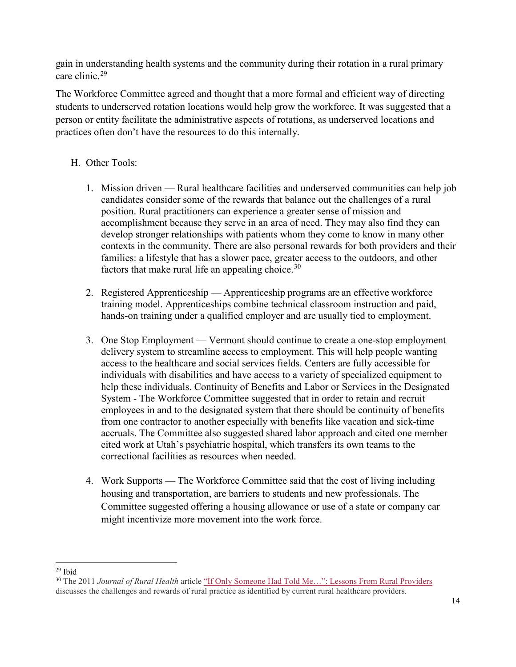gain in understanding health systems and the community during their rotation in a rural primary care clinic.[29](#page-15-0)

The Workforce Committee agreed and thought that a more formal and efficient way of directing students to underserved rotation locations would help grow the workforce. It was suggested that a person or entity facilitate the administrative aspects of rotations, as underserved locations and practices often don't have the resources to do this internally.

#### H. Other Tools:

- 1. Mission driven Rural healthcare facilities and underserved communities can help job candidates consider some of the rewards that balance out the challenges of a rural position. Rural practitioners can experience a greater sense of mission and accomplishment because they serve in an area of need. They may also find they can develop stronger relationships with patients whom they come to know in many other contexts in the community. There are also personal rewards for both providers and their families: a lifestyle that has a slower pace, greater access to the outdoors, and other factors that make rural life an appealing choice.<sup>[30](#page-15-1)</sup>
- 2. Registered Apprenticeship Apprenticeship programs are an effective workforce training model. Apprenticeships combine technical classroom instruction and paid, hands-on training under a qualified employer and are usually tied to employment.
- 3. One Stop Employment Vermont should continue to create a one-stop employment delivery system to streamline access to employment. This will help people wanting access to the healthcare and social services fields. Centers are fully accessible for individuals with disabilities and have access to a variety of specialized equipment to help these individuals. Continuity of Benefits and Labor or Services in the Designated System - The Workforce Committee suggested that in order to retain and recruit employees in and to the designated system that there should be continuity of benefits from one contractor to another especially with benefits like vacation and sick-time accruals. The Committee also suggested shared labor approach and cited one member cited work at Utah's psychiatric hospital, which transfers its own teams to the correctional facilities as resources when needed.
- 4. Work Supports The Workforce Committee said that the cost of living including housing and transportation, are barriers to students and new professionals. The Committee suggested offering a housing allowance or use of a state or company car might incentivize more movement into the work force.

<span id="page-15-0"></span> $\overline{a}$  $29$  Ibid

<span id="page-15-1"></span><sup>30</sup> The 2011 *Journal of Rural Health* article ["If Only Someone Had Told Me…": Lessons From Rural Providers](https://www.ncbi.nlm.nih.gov/pmc/articles/PMC3057882/) discusses the challenges and rewards of rural practice as identified by current rural healthcare providers.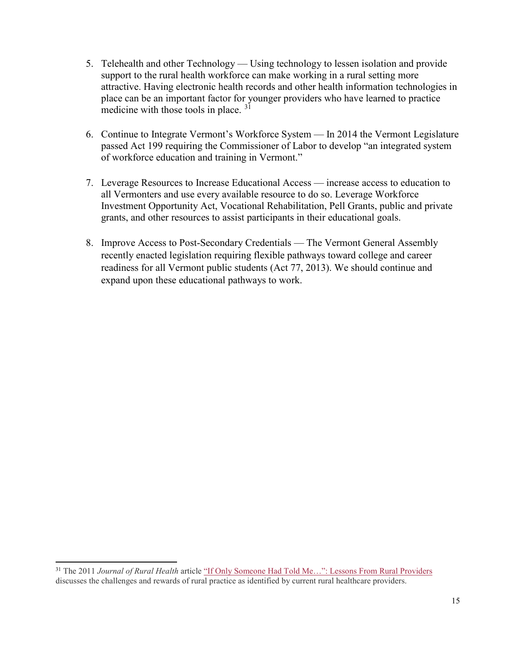- 5. Telehealth and other Technology Using technology to lessen isolation and provide support to the rural health workforce can make working in a rural setting more attractive. Having electronic health records and other health information technologies in place can be an important factor for younger providers who have learned to practice medicine with those tools in place.  $3<sup>1</sup>$
- 6. Continue to Integrate Vermont's Workforce System In 2014 the Vermont Legislature passed Act 199 requiring the Commissioner of Labor to develop "an integrated system of workforce education and training in Vermont."
- 7. Leverage Resources to Increase Educational Access increase access to education to all Vermonters and use every available resource to do so. Leverage Workforce Investment Opportunity Act, Vocational Rehabilitation, Pell Grants, public and private grants, and other resources to assist participants in their educational goals.
- 8. Improve Access to Post-Secondary Credentials The Vermont General Assembly recently enacted legislation requiring flexible pathways toward college and career readiness for all Vermont public students (Act 77, 2013). We should continue and expand upon these educational pathways to work.

 $\overline{a}$ 

<span id="page-16-0"></span><sup>31</sup> The 2011 *Journal of Rural Health* article ["If Only Someone Had Told Me…": Lessons From Rural Providers](https://www.ncbi.nlm.nih.gov/pmc/articles/PMC3057882/) discusses the challenges and rewards of rural practice as identified by current rural healthcare providers.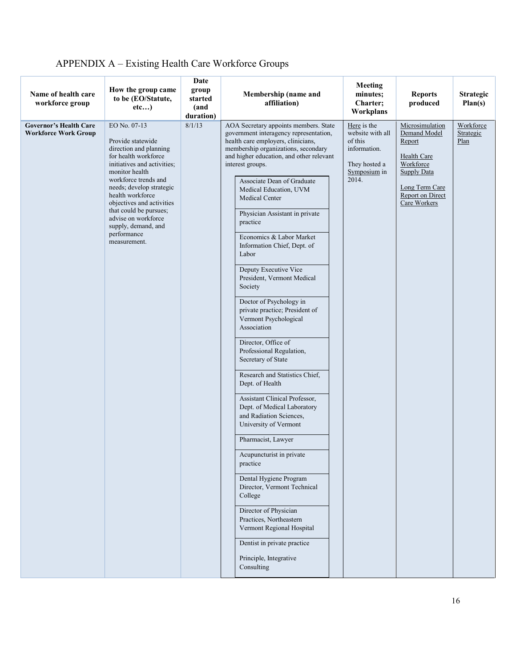| Name of health care<br>workforce group                       | How the group came<br>to be (EO/Statute,<br>etc)                                                                                                                                                                                                                                                                                                 | Date<br>group<br>started<br>(and<br>duration) | Membership (name and<br>affiliation)                                                                                                                                                                                                                                                                                                                                                                                                                                                                                                                                                                                                                                                                                                                                                                                                                                                                                                                                                                                                                                                                                                        | Meeting<br>minutes;<br>Charter;<br>Workplans                                                         | <b>Reports</b><br>produced                                                                                                                        | <b>Strategic</b><br>Plan(s)    |
|--------------------------------------------------------------|--------------------------------------------------------------------------------------------------------------------------------------------------------------------------------------------------------------------------------------------------------------------------------------------------------------------------------------------------|-----------------------------------------------|---------------------------------------------------------------------------------------------------------------------------------------------------------------------------------------------------------------------------------------------------------------------------------------------------------------------------------------------------------------------------------------------------------------------------------------------------------------------------------------------------------------------------------------------------------------------------------------------------------------------------------------------------------------------------------------------------------------------------------------------------------------------------------------------------------------------------------------------------------------------------------------------------------------------------------------------------------------------------------------------------------------------------------------------------------------------------------------------------------------------------------------------|------------------------------------------------------------------------------------------------------|---------------------------------------------------------------------------------------------------------------------------------------------------|--------------------------------|
| <b>Governor's Health Care</b><br><b>Workforce Work Group</b> | EO No. 07-13<br>Provide statewide<br>direction and planning<br>for health workforce<br>initiatives and activities;<br>monitor health<br>workforce trends and<br>needs; develop strategic<br>health workforce<br>objectives and activities<br>that could be pursues;<br>advise on workforce<br>supply, demand, and<br>performance<br>measurement. | 8/1/13                                        | AOA Secretary appoints members. State<br>government interagency representation,<br>health care employers, clinicians,<br>membership organizations, secondary<br>and higher education, and other relevant<br>interest groups.<br>Associate Dean of Graduate<br>Medical Education, UVM<br>Medical Center<br>Physician Assistant in private<br>practice<br>Economics & Labor Market<br>Information Chief, Dept. of<br>Labor<br>Deputy Executive Vice<br>President, Vermont Medical<br>Society<br>Doctor of Psychology in<br>private practice; President of<br>Vermont Psychological<br>Association<br>Director, Office of<br>Professional Regulation,<br>Secretary of State<br>Research and Statistics Chief,<br>Dept. of Health<br>Assistant Clinical Professor,<br>Dept. of Medical Laboratory<br>and Radiation Sciences,<br>University of Vermont<br>Pharmacist, Lawyer<br>Acupuncturist in private<br>practice<br>Dental Hygiene Program<br>Director, Vermont Technical<br>College<br>Director of Physician<br>Practices, Northeastern<br>Vermont Regional Hospital<br>Dentist in private practice<br>Principle, Integrative<br>Consulting | Here is the<br>website with all<br>of this<br>information.<br>They hosted a<br>Symposium in<br>2014. | Microsimulation<br>Demand Model<br>Report<br>Health Care<br>Workforce<br><b>Supply Data</b><br>Long Term Care<br>Report on Direct<br>Care Workers | Workforce<br>Strategic<br>Plan |

# APPENDIX A – Existing Health Care Workforce Groups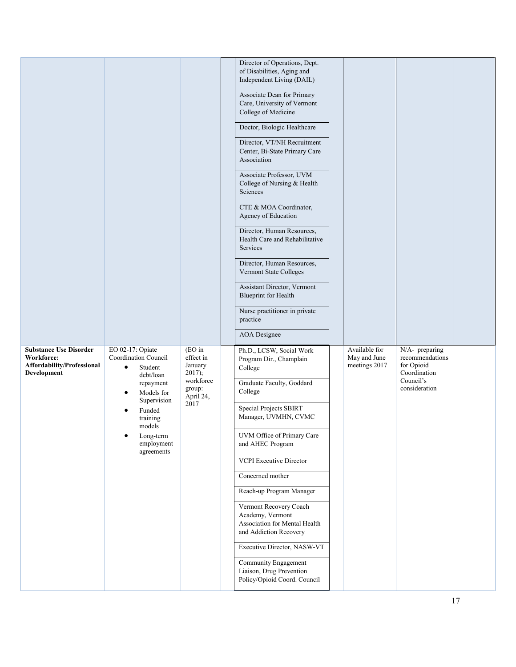|                                          |                                                                  |                                            | Director of Operations, Dept.<br>of Disabilities, Aging and<br>Independent Living (DAIL)              |                               |                                                                 |  |
|------------------------------------------|------------------------------------------------------------------|--------------------------------------------|-------------------------------------------------------------------------------------------------------|-------------------------------|-----------------------------------------------------------------|--|
|                                          |                                                                  |                                            | Associate Dean for Primary<br>Care, University of Vermont<br>College of Medicine                      |                               |                                                                 |  |
|                                          |                                                                  |                                            | Doctor, Biologic Healthcare                                                                           |                               |                                                                 |  |
|                                          |                                                                  |                                            | Director, VT/NH Recruitment<br>Center, Bi-State Primary Care<br>Association                           |                               |                                                                 |  |
|                                          |                                                                  |                                            | Associate Professor, UVM<br>College of Nursing & Health<br>Sciences                                   |                               |                                                                 |  |
|                                          |                                                                  |                                            | CTE & MOA Coordinator,<br>Agency of Education                                                         |                               |                                                                 |  |
|                                          |                                                                  |                                            | Director, Human Resources,<br>Health Care and Rehabilitative<br>Services                              |                               |                                                                 |  |
|                                          |                                                                  |                                            | Director, Human Resources,<br>Vermont State Colleges                                                  |                               |                                                                 |  |
|                                          |                                                                  |                                            | Assistant Director, Vermont<br><b>Blueprint</b> for Health                                            |                               |                                                                 |  |
|                                          |                                                                  |                                            | Nurse practitioner in private<br>practice                                                             |                               |                                                                 |  |
|                                          |                                                                  |                                            | <b>AOA</b> Designee                                                                                   |                               |                                                                 |  |
| <b>Substance Use Disorder</b>            |                                                                  |                                            |                                                                                                       | Available for                 |                                                                 |  |
| Workforce:<br>Affordability/Professional | EO 02-17: Opiate<br>Coordination Council<br>$\bullet$<br>Student | (EO in<br>effect in<br>January             | Ph.D., LCSW, Social Work<br>Program Dir., Champlain<br>College                                        | May and June<br>meetings 2017 | N/A- preparing<br>recommendations<br>for Opioid<br>Coordination |  |
| Development                              | debt/loan<br>repayment<br>Models for<br>$\bullet$                | 2017);<br>workforce<br>group:<br>April 24, | Graduate Faculty, Goddard<br>College                                                                  |                               | Council's<br>consideration                                      |  |
|                                          | Supervision<br>Funded<br>training<br>models                      | 2017                                       | <b>Special Projects SBIRT</b><br>Manager, UVMHN, CVMC                                                 |                               |                                                                 |  |
|                                          | Long-term<br>employment                                          |                                            | UVM Office of Primary Care<br>and AHEC Program                                                        |                               |                                                                 |  |
|                                          | agreements                                                       |                                            | <b>VCPI</b> Executive Director                                                                        |                               |                                                                 |  |
|                                          |                                                                  |                                            | Concerned mother                                                                                      |                               |                                                                 |  |
|                                          |                                                                  |                                            | Reach-up Program Manager                                                                              |                               |                                                                 |  |
|                                          |                                                                  |                                            | Vermont Recovery Coach<br>Academy, Vermont<br>Association for Mental Health<br>and Addiction Recovery |                               |                                                                 |  |
|                                          |                                                                  |                                            | Executive Director, NASW-VT                                                                           |                               |                                                                 |  |
|                                          |                                                                  |                                            | Community Engagement<br>Liaison, Drug Prevention<br>Policy/Opioid Coord. Council                      |                               |                                                                 |  |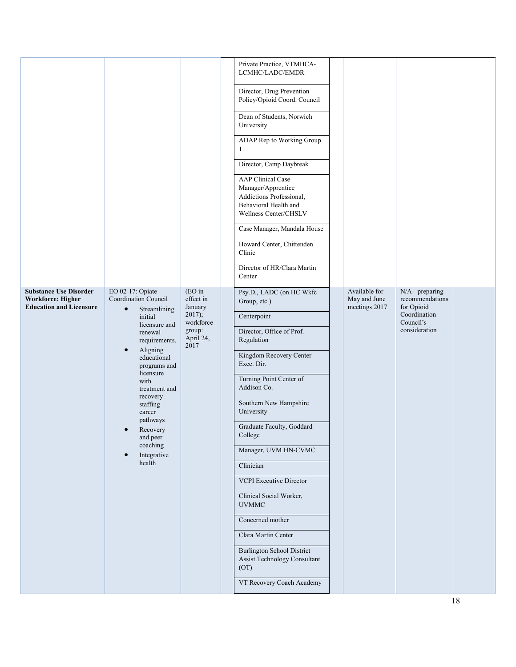|                                                                                             |                                                                                                                                                                                                                                                                                                                                                                  |                                                                                           | Private Practice, VTMHCA-<br>LCMHC/LADC/EMDR<br>Director, Drug Prevention<br>Policy/Opioid Coord. Council<br>Dean of Students, Norwich<br>University<br>ADAP Rep to Working Group<br>1<br>Director, Camp Daybreak<br><b>AAP</b> Clinical Case<br>Manager/Apprentice<br>Addictions Professional,<br>Behavioral Health and<br>Wellness Center/CHSLV<br>Case Manager, Mandala House<br>Howard Center, Chittenden<br>Clinic<br>Director of HR/Clara Martin<br>Center                                                                      |                                                |                                                                                               |  |
|---------------------------------------------------------------------------------------------|------------------------------------------------------------------------------------------------------------------------------------------------------------------------------------------------------------------------------------------------------------------------------------------------------------------------------------------------------------------|-------------------------------------------------------------------------------------------|---------------------------------------------------------------------------------------------------------------------------------------------------------------------------------------------------------------------------------------------------------------------------------------------------------------------------------------------------------------------------------------------------------------------------------------------------------------------------------------------------------------------------------------|------------------------------------------------|-----------------------------------------------------------------------------------------------|--|
| <b>Substance Use Disorder</b><br><b>Workforce: Higher</b><br><b>Education and Licensure</b> | EO 02-17: Opiate<br>Coordination Council<br>$\bullet$<br>Streamlining<br>initial<br>licensure and<br>renewal<br>requirements.<br>Aligning<br>$\bullet$<br>educational<br>programs and<br>licensure<br>with<br>treatment and<br>recovery<br>staffing<br>career<br>pathways<br>Recovery<br>$\bullet$<br>and peer<br>coaching<br>Integrative<br>$\bullet$<br>health | $(EO)$ in<br>effect in<br>January<br>$2017$ ;<br>workforce<br>group:<br>April 24,<br>2017 | Psy.D., LADC (on HC Wkfc<br>Group, etc.)<br>Centerpoint<br>Director, Office of Prof.<br>Regulation<br>Kingdom Recovery Center<br>Exec. Dir.<br>Turning Point Center of<br>Addison Co.<br>Southern New Hampshire<br>University<br>Graduate Faculty, Goddard<br>College<br>Manager, UVM HN-CVMC<br>Clinician<br>VCPI Executive Director<br>Clinical Social Worker,<br><b>UVMMC</b><br>Concerned mother<br>Clara Martin Center<br><b>Burlington School District</b><br>Assist.Technology Consultant<br>(OT)<br>VT Recovery Coach Academy | Available for<br>May and June<br>meetings 2017 | N/A- preparing<br>recommendations<br>for Opioid<br>Coordination<br>Council's<br>consideration |  |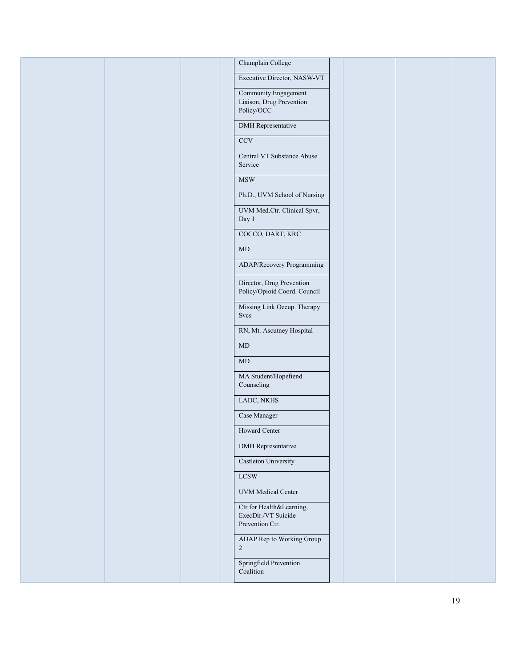| Champlain College                                                  |
|--------------------------------------------------------------------|
| Executive Director, NASW-VT                                        |
| Community Engagement                                               |
| Liaison, Drug Prevention<br>Policy/OCC                             |
| DMH Representative                                                 |
| CCV                                                                |
| Central VT Substance Abuse<br>Service                              |
| $\operatorname{\mathsf{MSW}}$                                      |
| Ph.D., UVM School of Nursing                                       |
| UVM Med.Ctr. Clinical Spvr,<br>Day 1                               |
| COCCO, DART, KRC                                                   |
| $\mbox{MD}$                                                        |
| ADAP/Recovery Programming                                          |
| Director, Drug Prevention<br>Policy/Opioid Coord. Council          |
| Missing Link Occup. Therapy<br>Svcs                                |
| RN, Mt. Ascutney Hospital                                          |
| $\mbox{MD}$                                                        |
| $\mbox{MD}$                                                        |
| MA Student/Hopefiend<br>Counseling                                 |
| LADC, NKHS                                                         |
| Case Manager                                                       |
| <b>Howard Center</b>                                               |
| <b>DMH</b> Representative                                          |
| Castleton University                                               |
| <b>LCSW</b>                                                        |
| <b>UVM</b> Medical Center                                          |
| Ctr for Health&Learning,<br>ExecDir./VT Suicide<br>Prevention Ctr. |
| ADAP Rep to Working Group<br>$\overline{2}$                        |
| Springfield Prevention<br>Coalition                                |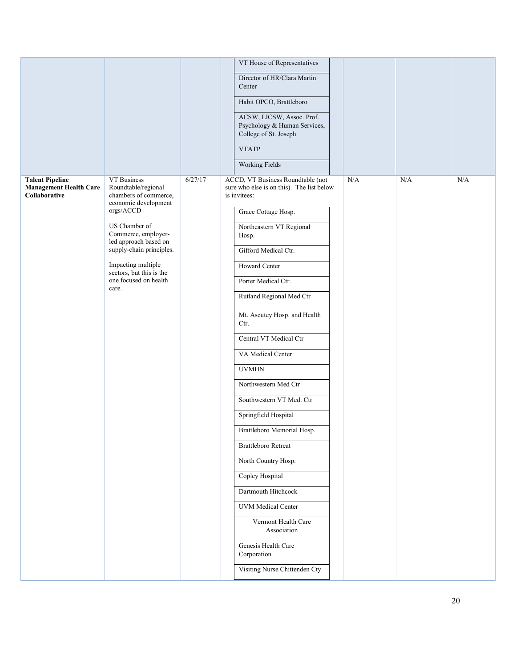|                                                                          |                                                                                     |         | VT House of Representatives                                                                    |     |     |           |
|--------------------------------------------------------------------------|-------------------------------------------------------------------------------------|---------|------------------------------------------------------------------------------------------------|-----|-----|-----------|
|                                                                          |                                                                                     |         | Director of HR/Clara Martin<br>Center                                                          |     |     |           |
|                                                                          |                                                                                     |         | Habit OPCO, Brattleboro                                                                        |     |     |           |
|                                                                          |                                                                                     |         | ACSW, LICSW, Assoc. Prof.<br>Psychology & Human Services,<br>College of St. Joseph             |     |     |           |
|                                                                          |                                                                                     |         | <b>VTATP</b>                                                                                   |     |     |           |
|                                                                          |                                                                                     |         | <b>Working Fields</b>                                                                          |     |     |           |
| <b>Talent Pipeline</b><br><b>Management Health Care</b><br>Collaborative | VT Business<br>Roundtable/regional<br>chambers of commerce,<br>economic development | 6/27/17 | ACCD, VT Business Roundtable (not<br>sure who else is on this). The list below<br>is invitees: | N/A | N/A | $\rm N/A$ |
|                                                                          | orgs/ACCD                                                                           |         | Grace Cottage Hosp.                                                                            |     |     |           |
|                                                                          | US Chamber of<br>Commerce, employer-<br>led approach based on                       |         | Northeastern VT Regional<br>Hosp.                                                              |     |     |           |
|                                                                          | supply-chain principles.                                                            |         | Gifford Medical Ctr.                                                                           |     |     |           |
|                                                                          | Impacting multiple<br>sectors, but this is the                                      |         | Howard Center                                                                                  |     |     |           |
|                                                                          | one focused on health<br>care.                                                      |         | Porter Medical Ctr.                                                                            |     |     |           |
|                                                                          |                                                                                     |         | Rutland Regional Med Ctr                                                                       |     |     |           |
|                                                                          |                                                                                     |         | Mt. Ascutey Hosp. and Health<br>Ctr.                                                           |     |     |           |
|                                                                          |                                                                                     |         | Central VT Medical Ctr                                                                         |     |     |           |
|                                                                          |                                                                                     |         | VA Medical Center                                                                              |     |     |           |
|                                                                          |                                                                                     |         | <b>UVMHN</b>                                                                                   |     |     |           |
|                                                                          |                                                                                     |         | Northwestern Med Ctr                                                                           |     |     |           |
|                                                                          |                                                                                     |         | Southwestern VT Med. Ctr                                                                       |     |     |           |
|                                                                          |                                                                                     |         | Springfield Hospital                                                                           |     |     |           |
|                                                                          |                                                                                     |         | Brattleboro Memorial Hosp.                                                                     |     |     |           |
|                                                                          |                                                                                     |         | <b>Brattleboro Retreat</b>                                                                     |     |     |           |
|                                                                          |                                                                                     |         | North Country Hosp.                                                                            |     |     |           |
|                                                                          |                                                                                     |         | Copley Hospital                                                                                |     |     |           |
|                                                                          |                                                                                     |         | Dartmouth Hitchcock                                                                            |     |     |           |
|                                                                          |                                                                                     |         | <b>UVM</b> Medical Center                                                                      |     |     |           |
|                                                                          |                                                                                     |         | Vermont Health Care<br>Association                                                             |     |     |           |
|                                                                          |                                                                                     |         | Genesis Health Care<br>Corporation                                                             |     |     |           |
|                                                                          |                                                                                     |         | Visiting Nurse Chittenden Cty                                                                  |     |     |           |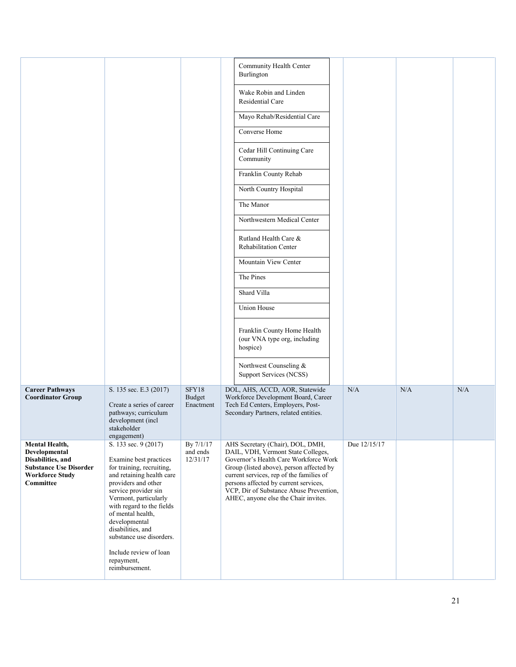|                                                                                                                              |                                                                                                                                                                                                                                                                                                                                                                |                                     | Community Health Center<br>Burlington<br>Wake Robin and Linden<br>Residential Care<br>Mayo Rehab/Residential Care<br>Converse Home<br>Cedar Hill Continuing Care<br>Community<br>Franklin County Rehab<br>North Country Hospital<br>The Manor<br>Northwestern Medical Center<br>Rutland Health Care &<br><b>Rehabilitation Center</b><br>Mountain View Center<br>The Pines<br>Shard Villa<br><b>Union House</b><br>Franklin County Home Health<br>(our VNA type org, including<br>hospice) |              |     |     |
|------------------------------------------------------------------------------------------------------------------------------|----------------------------------------------------------------------------------------------------------------------------------------------------------------------------------------------------------------------------------------------------------------------------------------------------------------------------------------------------------------|-------------------------------------|--------------------------------------------------------------------------------------------------------------------------------------------------------------------------------------------------------------------------------------------------------------------------------------------------------------------------------------------------------------------------------------------------------------------------------------------------------------------------------------------|--------------|-----|-----|
|                                                                                                                              |                                                                                                                                                                                                                                                                                                                                                                |                                     | Northwest Counseling &                                                                                                                                                                                                                                                                                                                                                                                                                                                                     |              |     |     |
|                                                                                                                              |                                                                                                                                                                                                                                                                                                                                                                |                                     | Support Services (NCSS)                                                                                                                                                                                                                                                                                                                                                                                                                                                                    |              |     |     |
| <b>Career Pathways</b><br><b>Coordinator Group</b>                                                                           | S. 135 sec. E.3 (2017)<br>Create a series of career<br>pathways; curriculum<br>development (incl<br>stakeholder<br>engagement)                                                                                                                                                                                                                                 | SFY18<br><b>Budget</b><br>Enactment | DOL, AHS, ACCD, AOR, Statewide<br>Workforce Development Board, Career<br>Tech Ed Centers, Employers, Post-<br>Secondary Partners, related entities.                                                                                                                                                                                                                                                                                                                                        | N/A          | N/A | N/A |
| Mental Health,<br>Developmental<br>Disabilities, and<br><b>Substance Use Disorder</b><br><b>Workforce Study</b><br>Committee | S. 133 sec. 9 (2017)<br>Examine best practices<br>for training, recruiting,<br>and retaining health care<br>providers and other<br>service provider sin<br>Vermont, particularly<br>with regard to the fields<br>of mental health,<br>developmental<br>disabilities, and<br>substance use disorders.<br>Include review of loan<br>repayment,<br>reimbursement. | By 7/1/17<br>and ends<br>12/31/17   | AHS Secretary (Chair), DOL, DMH,<br>DAIL, VDH, Vermont State Colleges,<br>Governor's Health Care Workforce Work<br>Group (listed above), person affected by<br>current services, rep of the families of<br>persons affected by current services,<br>VCP, Dir of Substance Abuse Prevention,<br>AHEC, anyone else the Chair invites.                                                                                                                                                        | Due 12/15/17 |     |     |